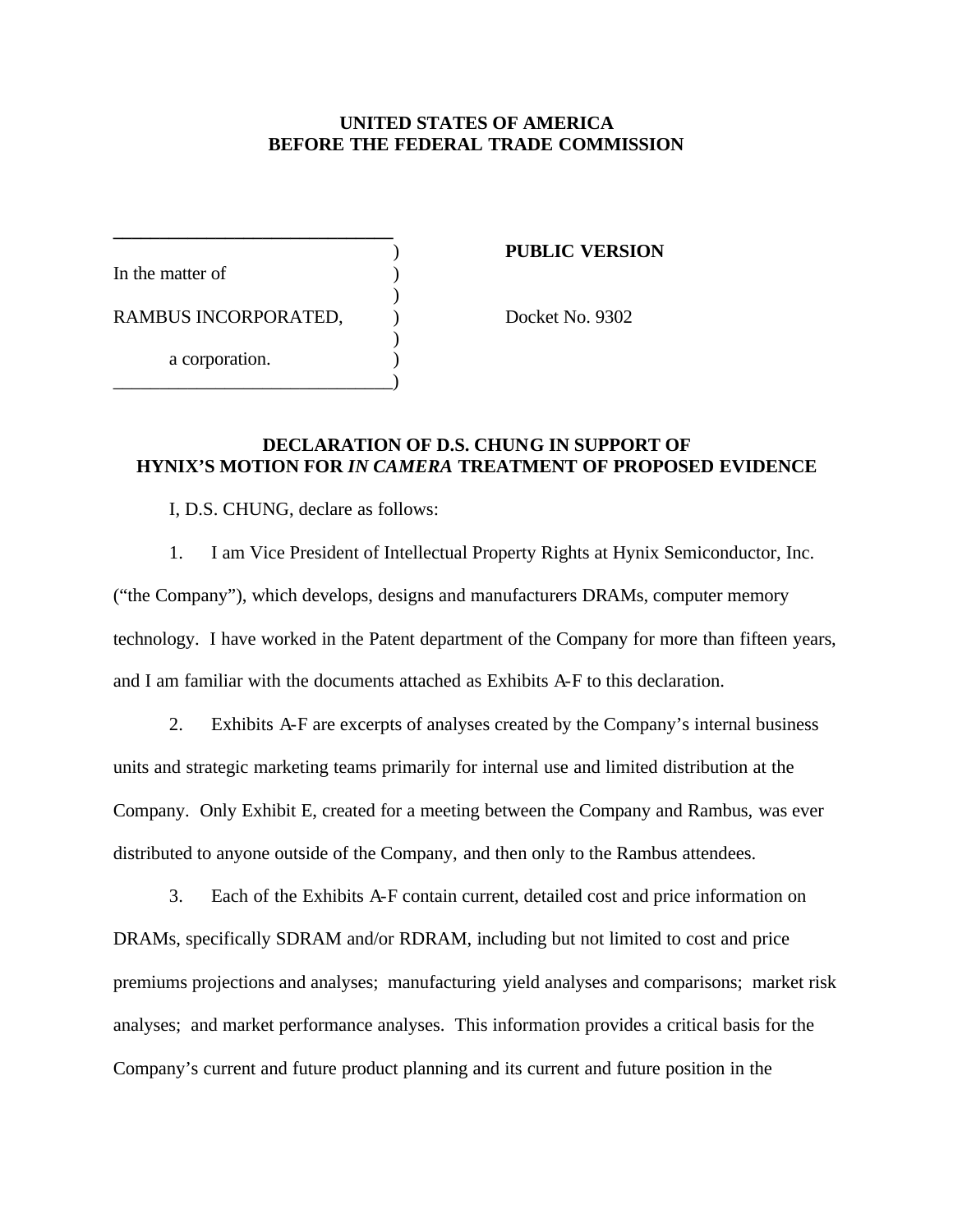## **UNITED STATES OF AMERICA BEFORE THE FEDERAL TRADE COMMISSION**

)

)

In the matter of RAMBUS INCORPORATED,  $Docket No. 9302$ 

a corporation.

**\_\_\_\_\_\_\_\_\_\_\_\_\_\_\_\_\_\_\_\_\_\_\_\_\_\_\_\_\_\_**

\_\_\_\_\_\_\_\_\_\_\_\_\_\_\_\_\_\_\_\_\_\_\_\_\_\_\_\_\_\_)

) **PUBLIC VERSION**

## **DECLARATION OF D.S. CHUNG IN SUPPORT OF HYNIX'S MOTION FOR** *IN CAMERA* **TREATMENT OF PROPOSED EVIDENCE**

I, D.S. CHUNG, declare as follows:

1. I am Vice President of Intellectual Property Rights at Hynix Semiconductor, Inc.

("the Company"), which develops, designs and manufacturers DRAMs, computer memory technology. I have worked in the Patent department of the Company for more than fifteen years, and I am familiar with the documents attached as Exhibits A-F to this declaration.

2. Exhibits A-F are excerpts of analyses created by the Company's internal business units and strategic marketing teams primarily for internal use and limited distribution at the Company. Only Exhibit E, created for a meeting between the Company and Rambus, was ever distributed to anyone outside of the Company, and then only to the Rambus attendees.

3. Each of the Exhibits A-F contain current, detailed cost and price information on DRAMs, specifically SDRAM and/or RDRAM, including but not limited to cost and price premiums projections and analyses; manufacturing yield analyses and comparisons; market risk analyses; and market performance analyses. This information provides a critical basis for the Company's current and future product planning and its current and future position in the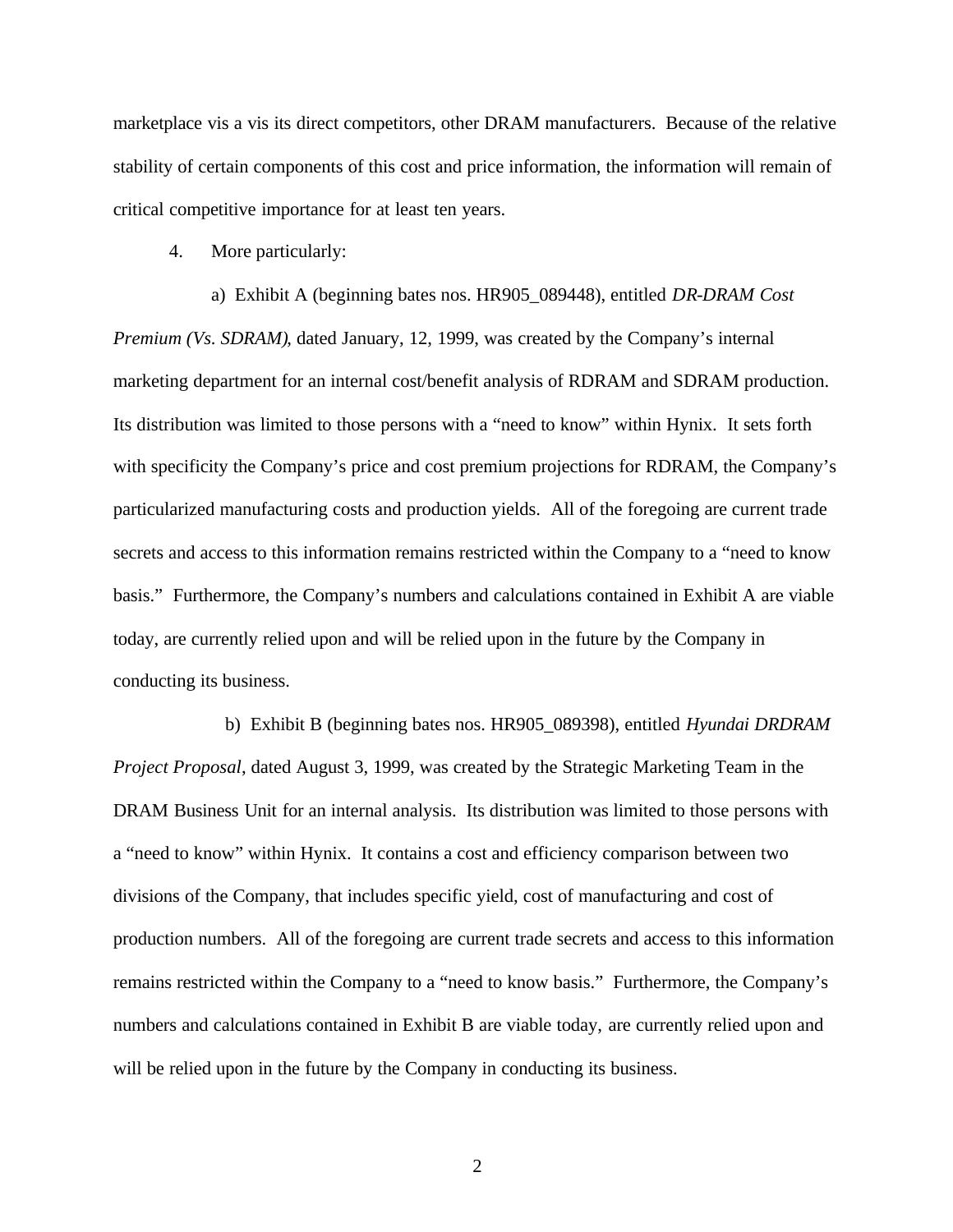marketplace vis a vis its direct competitors, other DRAM manufacturers. Because of the relative stability of certain components of this cost and price information, the information will remain of critical competitive importance for at least ten years.

4. More particularly:

a) Exhibit A (beginning bates nos. HR905\_089448), entitled *DR-DRAM Cost Premium (Vs. SDRAM)*, dated January, 12, 1999, was created by the Company's internal marketing department for an internal cost/benefit analysis of RDRAM and SDRAM production. Its distribution was limited to those persons with a "need to know" within Hynix. It sets forth with specificity the Company's price and cost premium projections for RDRAM, the Company's particularized manufacturing costs and production yields. All of the foregoing are current trade secrets and access to this information remains restricted within the Company to a "need to know basis." Furthermore, the Company's numbers and calculations contained in Exhibit A are viable today, are currently relied upon and will be relied upon in the future by the Company in conducting its business.

b) Exhibit B (beginning bates nos. HR905\_089398), entitled *Hyundai DRDRAM Project Proposal*, dated August 3, 1999, was created by the Strategic Marketing Team in the DRAM Business Unit for an internal analysis. Its distribution was limited to those persons with a "need to know" within Hynix. It contains a cost and efficiency comparison between two divisions of the Company, that includes specific yield, cost of manufacturing and cost of production numbers. All of the foregoing are current trade secrets and access to this information remains restricted within the Company to a "need to know basis." Furthermore, the Company's numbers and calculations contained in Exhibit B are viable today, are currently relied upon and will be relied upon in the future by the Company in conducting its business.

2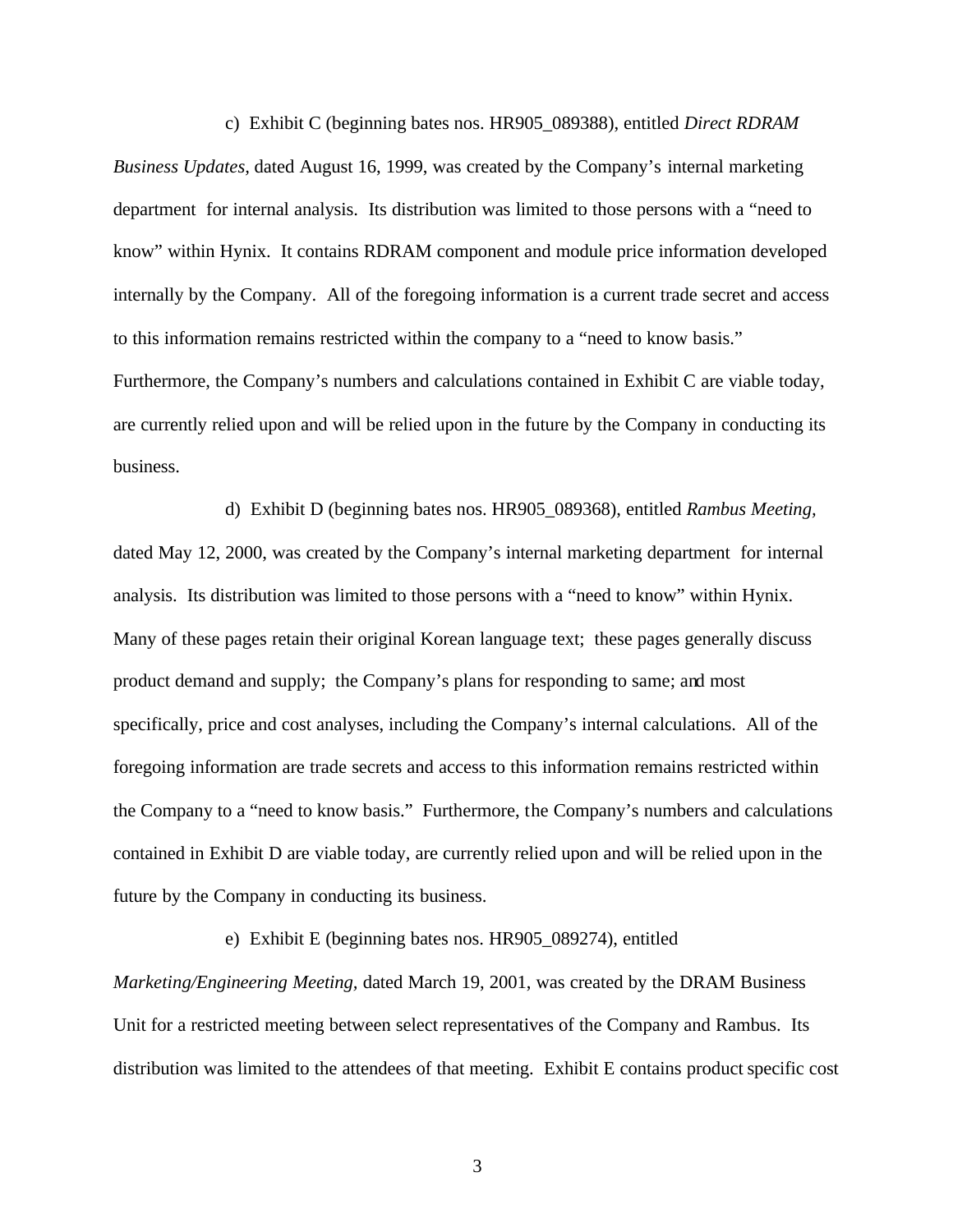c) Exhibit C (beginning bates nos. HR905\_089388), entitled *Direct RDRAM Business Updates,* dated August 16, 1999, was created by the Company's internal marketing department for internal analysis. Its distribution was limited to those persons with a "need to know" within Hynix. It contains RDRAM component and module price information developed internally by the Company. All of the foregoing information is a current trade secret and access to this information remains restricted within the company to a "need to know basis." Furthermore, the Company's numbers and calculations contained in Exhibit C are viable today, are currently relied upon and will be relied upon in the future by the Company in conducting its business.

d) Exhibit D (beginning bates nos. HR905\_089368), entitled *Rambus Meeting,*  dated May 12, 2000, was created by the Company's internal marketing department for internal analysis. Its distribution was limited to those persons with a "need to know" within Hynix. Many of these pages retain their original Korean language text; these pages generally discuss product demand and supply; the Company's plans for responding to same; and most specifically, price and cost analyses, including the Company's internal calculations. All of the foregoing information are trade secrets and access to this information remains restricted within the Company to a "need to know basis." Furthermore, the Company's numbers and calculations contained in Exhibit D are viable today, are currently relied upon and will be relied upon in the future by the Company in conducting its business.

e) Exhibit E (beginning bates nos. HR905\_089274), entitled

*Marketing/Engineering Meeting,* dated March 19, 2001, was created by the DRAM Business Unit for a restricted meeting between select representatives of the Company and Rambus. Its distribution was limited to the attendees of that meeting. Exhibit E contains product specific cost

3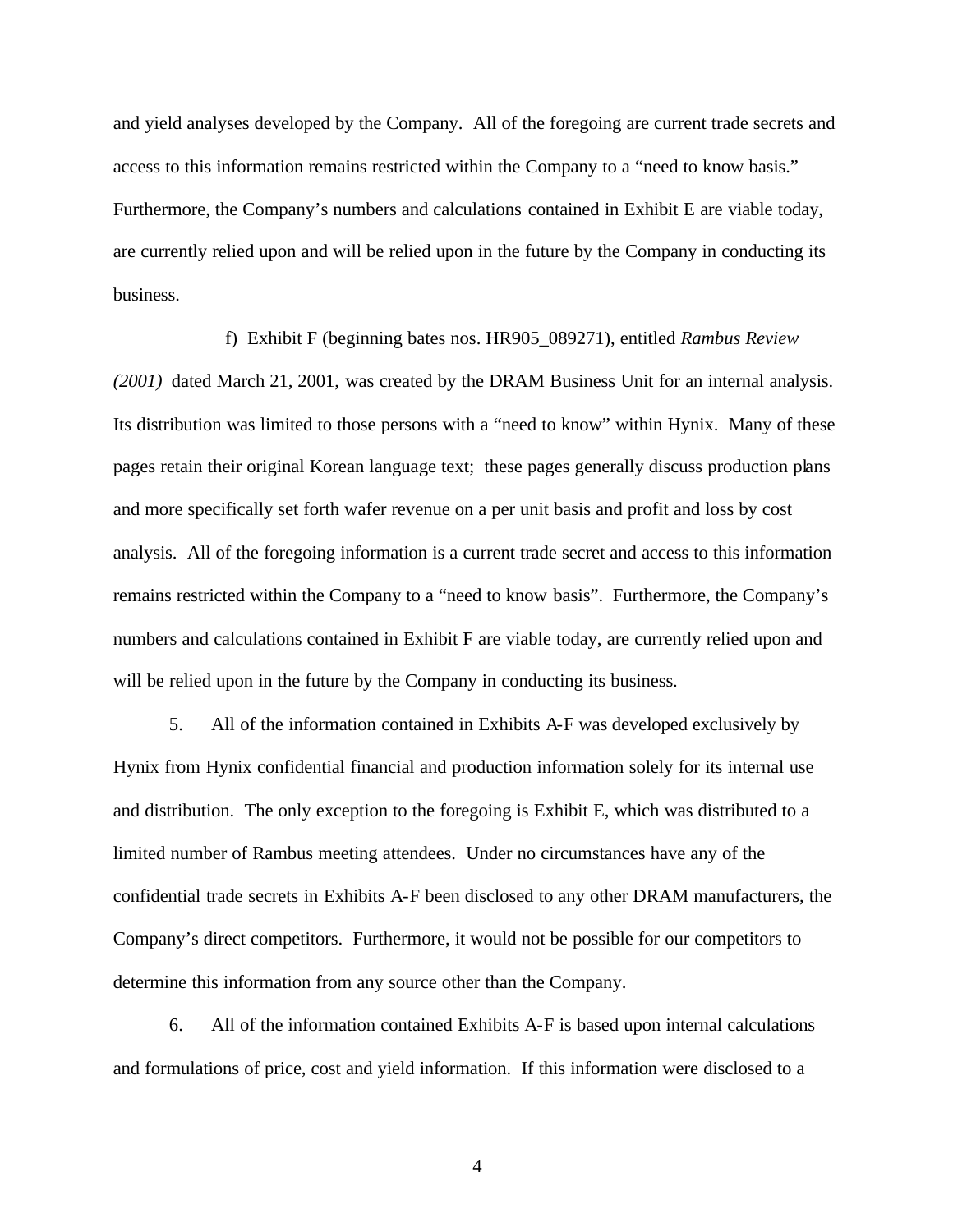and yield analyses developed by the Company. All of the foregoing are current trade secrets and access to this information remains restricted within the Company to a "need to know basis." Furthermore, the Company's numbers and calculations contained in Exhibit E are viable today, are currently relied upon and will be relied upon in the future by the Company in conducting its business.

f) Exhibit F (beginning bates nos. HR905\_089271), entitled *Rambus Review* 

*(2001)* dated March 21, 2001, was created by the DRAM Business Unit for an internal analysis. Its distribution was limited to those persons with a "need to know" within Hynix. Many of these pages retain their original Korean language text; these pages generally discuss production plans and more specifically set forth wafer revenue on a per unit basis and profit and loss by cost analysis. All of the foregoing information is a current trade secret and access to this information remains restricted within the Company to a "need to know basis". Furthermore, the Company's numbers and calculations contained in Exhibit F are viable today, are currently relied upon and will be relied upon in the future by the Company in conducting its business.

5. All of the information contained in Exhibits A-F was developed exclusively by Hynix from Hynix confidential financial and production information solely for its internal use and distribution. The only exception to the foregoing is Exhibit E, which was distributed to a limited number of Rambus meeting attendees. Under no circumstances have any of the confidential trade secrets in Exhibits A-F been disclosed to any other DRAM manufacturers, the Company's direct competitors. Furthermore, it would not be possible for our competitors to determine this information from any source other than the Company.

6. All of the information contained Exhibits A-F is based upon internal calculations and formulations of price, cost and yield information. If this information were disclosed to a

4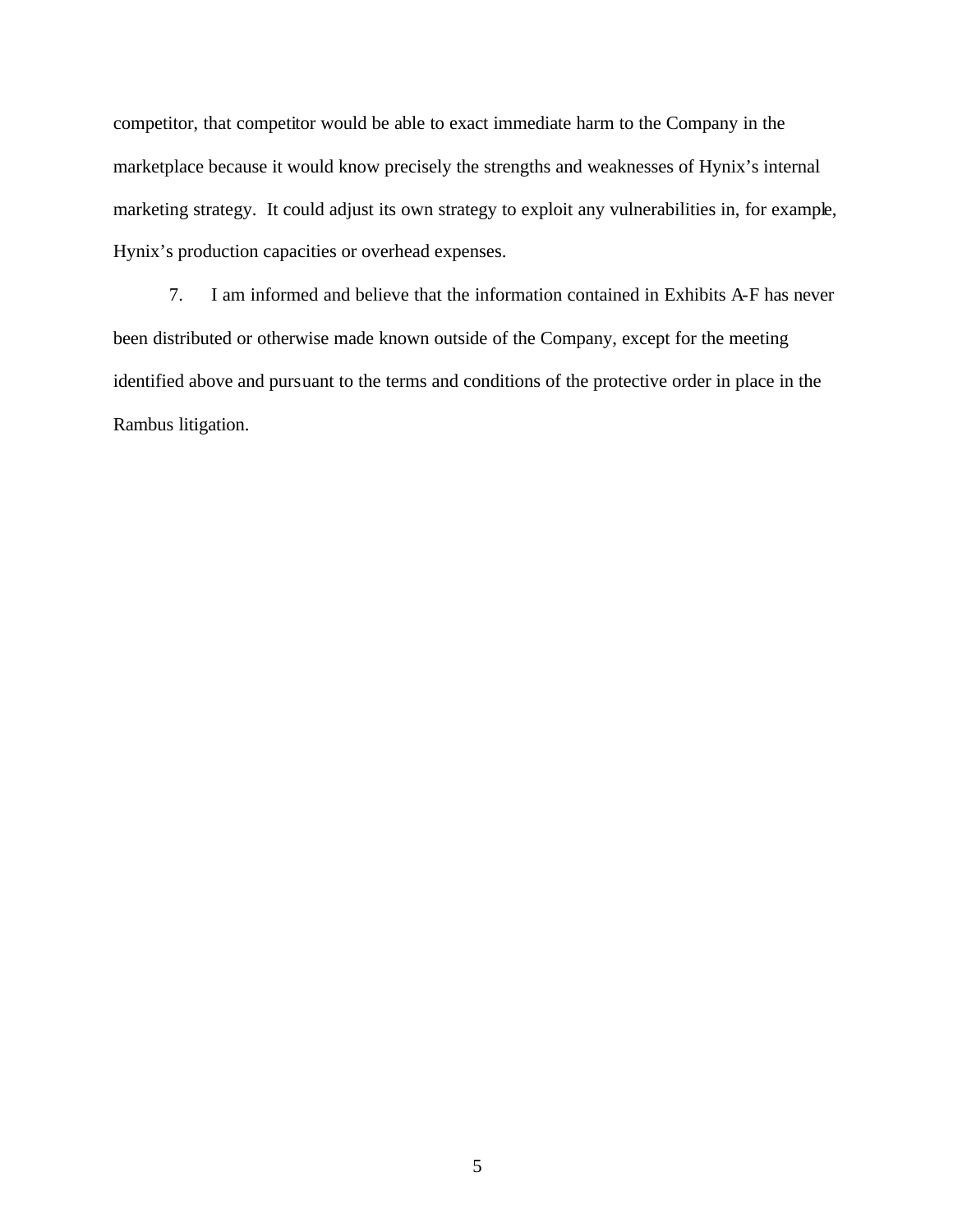competitor, that competitor would be able to exact immediate harm to the Company in the marketplace because it would know precisely the strengths and weaknesses of Hynix's internal marketing strategy. It could adjust its own strategy to exploit any vulnerabilities in, for example, Hynix's production capacities or overhead expenses.

7. I am informed and believe that the information contained in Exhibits A-F has never been distributed or otherwise made known outside of the Company, except for the meeting identified above and pursuant to the terms and conditions of the protective order in place in the Rambus litigation.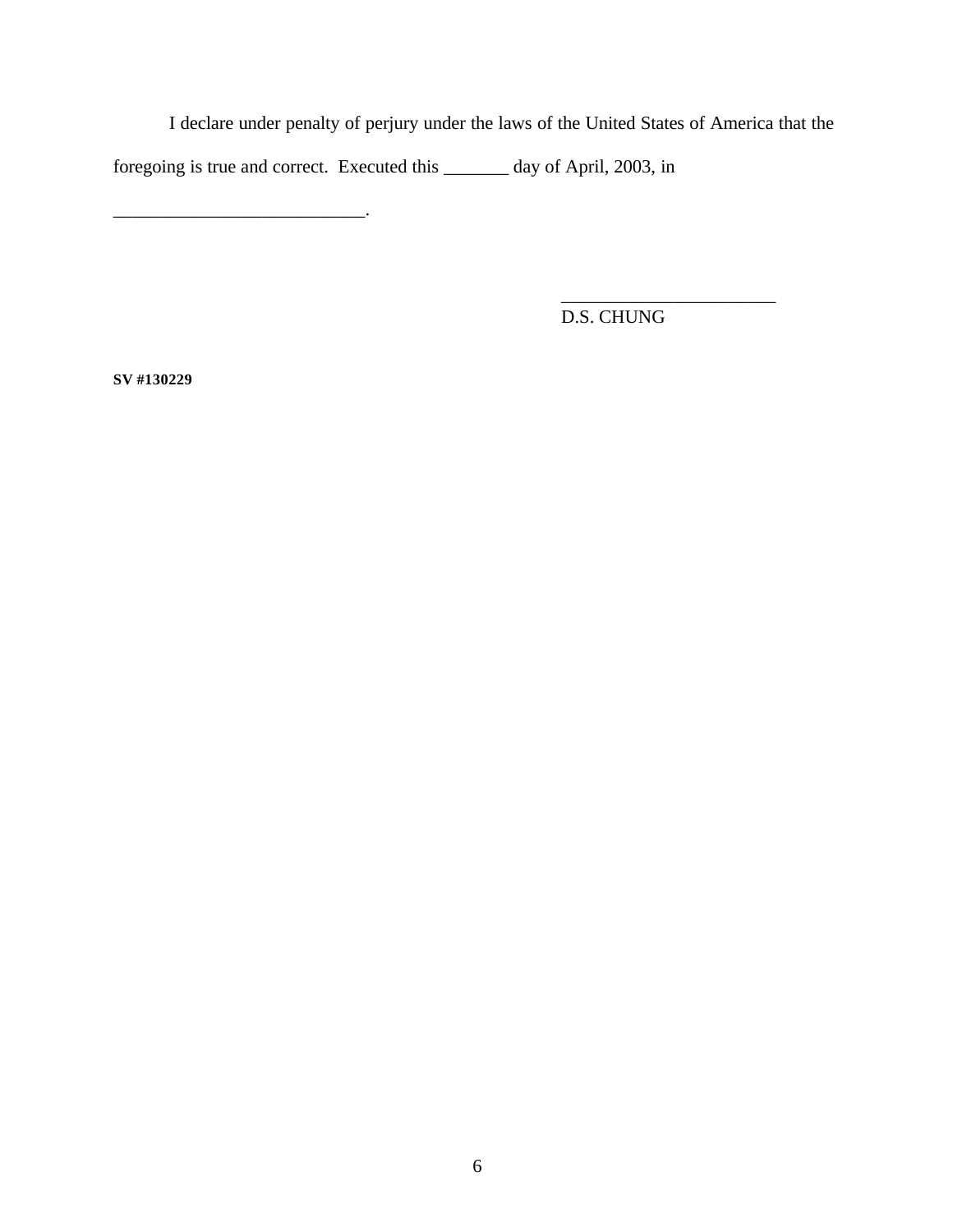I declare under penalty of perjury under the laws of the United States of America that the foregoing is true and correct. Executed this \_\_\_\_\_\_\_ day of April, 2003, in

\_\_\_\_\_\_\_\_\_\_\_\_\_\_\_\_\_\_\_\_\_\_\_\_\_\_\_.

D.S. CHUNG

\_\_\_\_\_\_\_\_\_\_\_\_\_\_\_\_\_\_\_\_\_\_\_

**SV #130229**